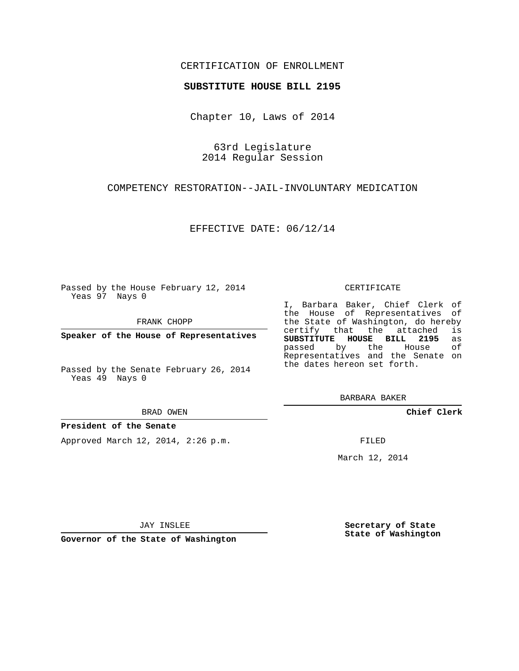## CERTIFICATION OF ENROLLMENT

#### **SUBSTITUTE HOUSE BILL 2195**

Chapter 10, Laws of 2014

63rd Legislature 2014 Regular Session

COMPETENCY RESTORATION--JAIL-INVOLUNTARY MEDICATION

EFFECTIVE DATE: 06/12/14

Passed by the House February 12, 2014 Yeas 97 Nays 0

FRANK CHOPP

**Speaker of the House of Representatives**

Passed by the Senate February 26, 2014 Yeas 49 Nays 0

BRAD OWEN

#### **President of the Senate**

Approved March 12, 2014, 2:26 p.m.

CERTIFICATE

I, Barbara Baker, Chief Clerk of the House of Representatives of the State of Washington, do hereby<br>certify that the attached is certify that the attached **SUBSTITUTE HOUSE BILL 2195** as passed by the House of Representatives and the Senate on the dates hereon set forth.

BARBARA BAKER

**Chief Clerk**

FILED

March 12, 2014

JAY INSLEE

**Governor of the State of Washington**

**Secretary of State State of Washington**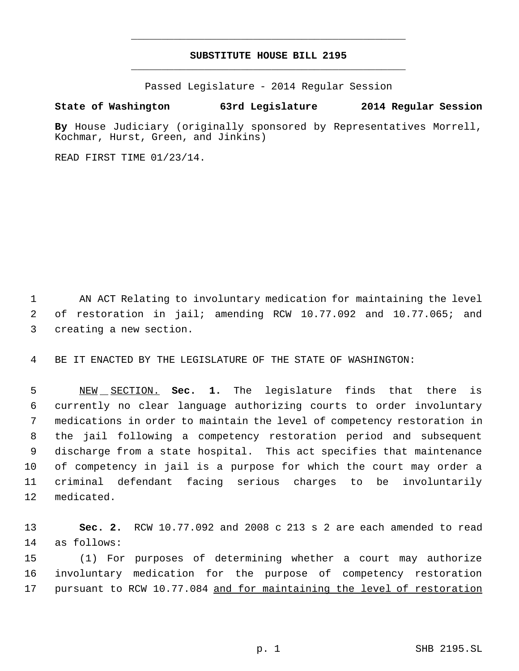# **SUBSTITUTE HOUSE BILL 2195** \_\_\_\_\_\_\_\_\_\_\_\_\_\_\_\_\_\_\_\_\_\_\_\_\_\_\_\_\_\_\_\_\_\_\_\_\_\_\_\_\_\_\_\_\_

\_\_\_\_\_\_\_\_\_\_\_\_\_\_\_\_\_\_\_\_\_\_\_\_\_\_\_\_\_\_\_\_\_\_\_\_\_\_\_\_\_\_\_\_\_

Passed Legislature - 2014 Regular Session

### **State of Washington 63rd Legislature 2014 Regular Session**

**By** House Judiciary (originally sponsored by Representatives Morrell, Kochmar, Hurst, Green, and Jinkins)

READ FIRST TIME 01/23/14.

 AN ACT Relating to involuntary medication for maintaining the level of restoration in jail; amending RCW 10.77.092 and 10.77.065; and creating a new section.

BE IT ENACTED BY THE LEGISLATURE OF THE STATE OF WASHINGTON:

 NEW SECTION. **Sec. 1.** The legislature finds that there is currently no clear language authorizing courts to order involuntary medications in order to maintain the level of competency restoration in the jail following a competency restoration period and subsequent discharge from a state hospital. This act specifies that maintenance of competency in jail is a purpose for which the court may order a criminal defendant facing serious charges to be involuntarily medicated.

 **Sec. 2.** RCW 10.77.092 and 2008 c 213 s 2 are each amended to read as follows:

 (1) For purposes of determining whether a court may authorize involuntary medication for the purpose of competency restoration 17 pursuant to RCW 10.77.084 and for maintaining the level of restoration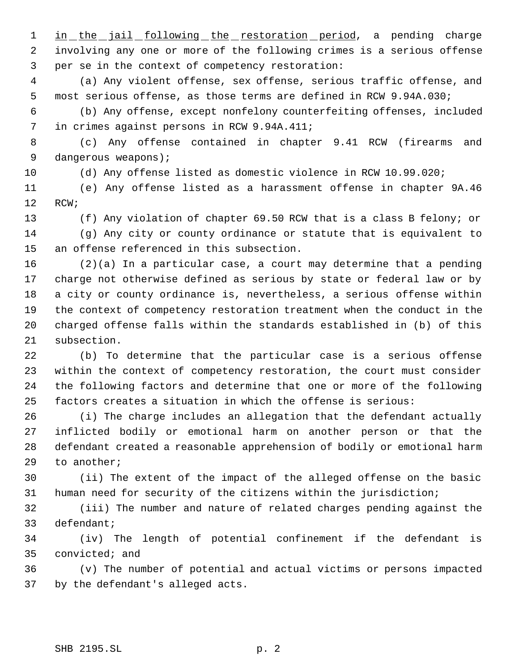1 in the jail following the restoration period, a pending charge involving any one or more of the following crimes is a serious offense per se in the context of competency restoration:

 (a) Any violent offense, sex offense, serious traffic offense, and most serious offense, as those terms are defined in RCW 9.94A.030;

 (b) Any offense, except nonfelony counterfeiting offenses, included in crimes against persons in RCW 9.94A.411;

 (c) Any offense contained in chapter 9.41 RCW (firearms and dangerous weapons);

(d) Any offense listed as domestic violence in RCW 10.99.020;

 (e) Any offense listed as a harassment offense in chapter 9A.46 RCW;

 (f) Any violation of chapter 69.50 RCW that is a class B felony; or (g) Any city or county ordinance or statute that is equivalent to an offense referenced in this subsection.

 (2)(a) In a particular case, a court may determine that a pending charge not otherwise defined as serious by state or federal law or by a city or county ordinance is, nevertheless, a serious offense within the context of competency restoration treatment when the conduct in the charged offense falls within the standards established in (b) of this subsection.

 (b) To determine that the particular case is a serious offense within the context of competency restoration, the court must consider the following factors and determine that one or more of the following factors creates a situation in which the offense is serious:

 (i) The charge includes an allegation that the defendant actually inflicted bodily or emotional harm on another person or that the defendant created a reasonable apprehension of bodily or emotional harm to another;

 (ii) The extent of the impact of the alleged offense on the basic human need for security of the citizens within the jurisdiction;

 (iii) The number and nature of related charges pending against the defendant;

 (iv) The length of potential confinement if the defendant is convicted; and

 (v) The number of potential and actual victims or persons impacted by the defendant's alleged acts.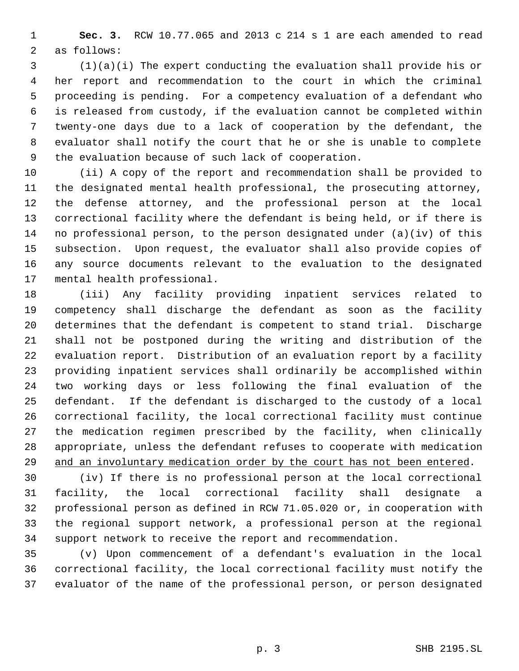**Sec. 3.** RCW 10.77.065 and 2013 c 214 s 1 are each amended to read as follows:

 (1)(a)(i) The expert conducting the evaluation shall provide his or her report and recommendation to the court in which the criminal proceeding is pending. For a competency evaluation of a defendant who is released from custody, if the evaluation cannot be completed within twenty-one days due to a lack of cooperation by the defendant, the evaluator shall notify the court that he or she is unable to complete the evaluation because of such lack of cooperation.

 (ii) A copy of the report and recommendation shall be provided to the designated mental health professional, the prosecuting attorney, the defense attorney, and the professional person at the local correctional facility where the defendant is being held, or if there is no professional person, to the person designated under (a)(iv) of this subsection. Upon request, the evaluator shall also provide copies of any source documents relevant to the evaluation to the designated mental health professional.

 (iii) Any facility providing inpatient services related to competency shall discharge the defendant as soon as the facility determines that the defendant is competent to stand trial. Discharge shall not be postponed during the writing and distribution of the evaluation report. Distribution of an evaluation report by a facility providing inpatient services shall ordinarily be accomplished within two working days or less following the final evaluation of the defendant. If the defendant is discharged to the custody of a local correctional facility, the local correctional facility must continue the medication regimen prescribed by the facility, when clinically appropriate, unless the defendant refuses to cooperate with medication and an involuntary medication order by the court has not been entered.

 (iv) If there is no professional person at the local correctional facility, the local correctional facility shall designate a professional person as defined in RCW 71.05.020 or, in cooperation with the regional support network, a professional person at the regional support network to receive the report and recommendation.

 (v) Upon commencement of a defendant's evaluation in the local correctional facility, the local correctional facility must notify the evaluator of the name of the professional person, or person designated